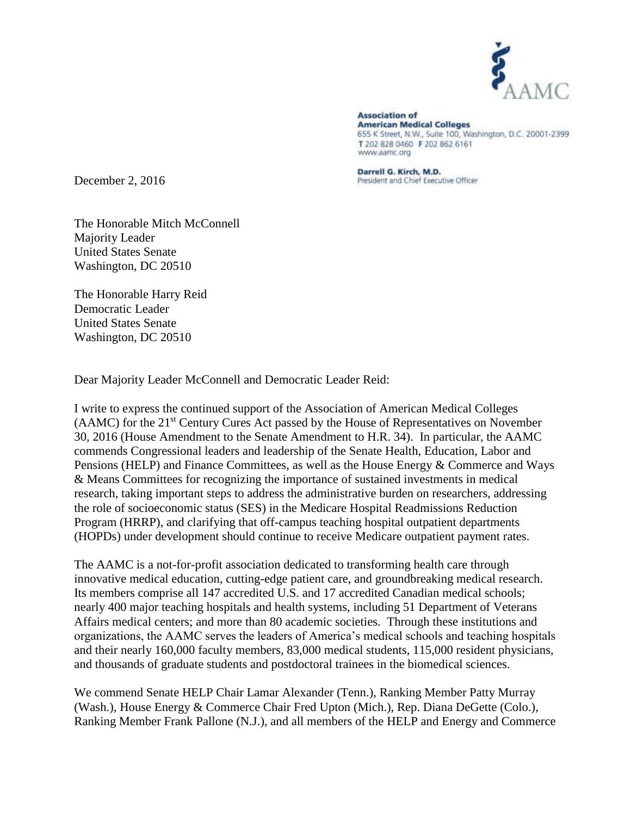

**Association of American Medical Colleges** 655 K Street, N.W., Suite 100, Washington, D.C. 20001-2399 T 202 828 0460 F 202 862 6161 www.aamc.org

Darrell G. Kirch, M.D. President and Chief Executive Officer

December 2, 2016

The Honorable Mitch McConnell Majority Leader United States Senate Washington, DC 20510

The Honorable Harry Reid Democratic Leader United States Senate Washington, DC 20510

Dear Majority Leader McConnell and Democratic Leader Reid:

I write to express the continued support of the Association of American Medical Colleges (AAMC) for the 21<sup>st</sup> Century Cures Act passed by the House of Representatives on November 30, 2016 (House Amendment to the Senate Amendment to H.R. 34). In particular, the AAMC commends Congressional leaders and leadership of the Senate Health, Education, Labor and Pensions (HELP) and Finance Committees, as well as the House Energy & Commerce and Ways & Means Committees for recognizing the importance of sustained investments in medical research, taking important steps to address the administrative burden on researchers, addressing the role of socioeconomic status (SES) in the Medicare Hospital Readmissions Reduction Program (HRRP), and clarifying that off-campus teaching hospital outpatient departments (HOPDs) under development should continue to receive Medicare outpatient payment rates.

The AAMC is a not-for-profit association dedicated to transforming health care through innovative medical education, cutting-edge patient care, and groundbreaking medical research. Its members comprise all 147 accredited U.S. and 17 accredited Canadian medical schools; nearly 400 major teaching hospitals and health systems, including 51 Department of Veterans Affairs medical centers; and more than 80 academic societies. Through these institutions and organizations, the AAMC serves the leaders of America's medical schools and teaching hospitals and their nearly 160,000 faculty members, 83,000 medical students, 115,000 resident physicians, and thousands of graduate students and postdoctoral trainees in the biomedical sciences.

We commend Senate HELP Chair Lamar Alexander (Tenn.), Ranking Member Patty Murray (Wash.), House Energy & Commerce Chair Fred Upton (Mich.), Rep. Diana DeGette (Colo.), Ranking Member Frank Pallone (N.J.), and all members of the HELP and Energy and Commerce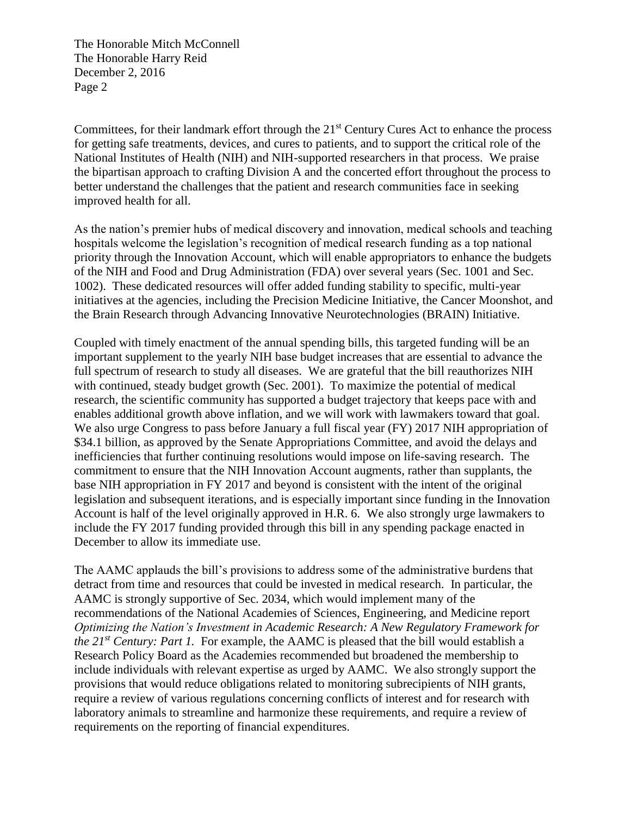Committees, for their landmark effort through the  $21<sup>st</sup>$  Century Cures Act to enhance the process for getting safe treatments, devices, and cures to patients, and to support the critical role of the National Institutes of Health (NIH) and NIH-supported researchers in that process. We praise the bipartisan approach to crafting Division A and the concerted effort throughout the process to better understand the challenges that the patient and research communities face in seeking improved health for all.

As the nation's premier hubs of medical discovery and innovation, medical schools and teaching hospitals welcome the legislation's recognition of medical research funding as a top national priority through the Innovation Account, which will enable appropriators to enhance the budgets of the NIH and Food and Drug Administration (FDA) over several years (Sec. 1001 and Sec. 1002). These dedicated resources will offer added funding stability to specific, multi-year initiatives at the agencies, including the Precision Medicine Initiative, the Cancer Moonshot, and the Brain Research through Advancing Innovative Neurotechnologies (BRAIN) Initiative.

Coupled with timely enactment of the annual spending bills, this targeted funding will be an important supplement to the yearly NIH base budget increases that are essential to advance the full spectrum of research to study all diseases. We are grateful that the bill reauthorizes NIH with continued, steady budget growth (Sec. 2001). To maximize the potential of medical research, the scientific community has supported a budget trajectory that keeps pace with and enables additional growth above inflation, and we will work with lawmakers toward that goal. We also urge Congress to pass before January a full fiscal year (FY) 2017 NIH appropriation of \$34.1 billion, as approved by the Senate Appropriations Committee, and avoid the delays and inefficiencies that further continuing resolutions would impose on life-saving research. The commitment to ensure that the NIH Innovation Account augments, rather than supplants, the base NIH appropriation in FY 2017 and beyond is consistent with the intent of the original legislation and subsequent iterations, and is especially important since funding in the Innovation Account is half of the level originally approved in H.R. 6. We also strongly urge lawmakers to include the FY 2017 funding provided through this bill in any spending package enacted in December to allow its immediate use.

The AAMC applauds the bill's provisions to address some of the administrative burdens that detract from time and resources that could be invested in medical research. In particular, the AAMC is strongly supportive of Sec. 2034, which would implement many of the recommendations of the National Academies of Sciences, Engineering, and Medicine report *Optimizing the Nation's Investment in Academic Research: A New Regulatory Framework for the 21st Century: Part 1.* For example, the AAMC is pleased that the bill would establish a Research Policy Board as the Academies recommended but broadened the membership to include individuals with relevant expertise as urged by AAMC. We also strongly support the provisions that would reduce obligations related to monitoring subrecipients of NIH grants, require a review of various regulations concerning conflicts of interest and for research with laboratory animals to streamline and harmonize these requirements, and require a review of requirements on the reporting of financial expenditures.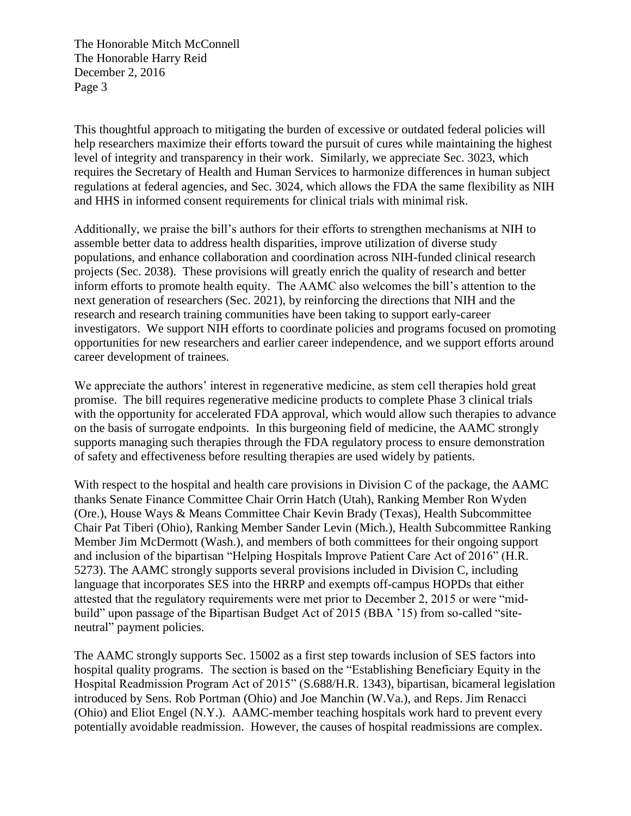This thoughtful approach to mitigating the burden of excessive or outdated federal policies will help researchers maximize their efforts toward the pursuit of cures while maintaining the highest level of integrity and transparency in their work. Similarly, we appreciate Sec. 3023, which requires the Secretary of Health and Human Services to harmonize differences in human subject regulations at federal agencies, and Sec. 3024, which allows the FDA the same flexibility as NIH and HHS in informed consent requirements for clinical trials with minimal risk.

Additionally, we praise the bill's authors for their efforts to strengthen mechanisms at NIH to assemble better data to address health disparities, improve utilization of diverse study populations, and enhance collaboration and coordination across NIH-funded clinical research projects (Sec. 2038). These provisions will greatly enrich the quality of research and better inform efforts to promote health equity. The AAMC also welcomes the bill's attention to the next generation of researchers (Sec. 2021), by reinforcing the directions that NIH and the research and research training communities have been taking to support early-career investigators. We support NIH efforts to coordinate policies and programs focused on promoting opportunities for new researchers and earlier career independence, and we support efforts around career development of trainees.

We appreciate the authors' interest in regenerative medicine, as stem cell therapies hold great promise. The bill requires regenerative medicine products to complete Phase 3 clinical trials with the opportunity for accelerated FDA approval, which would allow such therapies to advance on the basis of surrogate endpoints. In this burgeoning field of medicine, the AAMC strongly supports managing such therapies through the FDA regulatory process to ensure demonstration of safety and effectiveness before resulting therapies are used widely by patients.

With respect to the hospital and health care provisions in Division C of the package, the AAMC thanks Senate Finance Committee Chair Orrin Hatch (Utah), Ranking Member Ron Wyden (Ore.), House Ways & Means Committee Chair Kevin Brady (Texas), Health Subcommittee Chair Pat Tiberi (Ohio), Ranking Member Sander Levin (Mich.), Health Subcommittee Ranking Member Jim McDermott (Wash.), and members of both committees for their ongoing support and inclusion of the bipartisan "Helping Hospitals Improve Patient Care Act of 2016" (H.R. 5273). The AAMC strongly supports several provisions included in Division C, including language that incorporates SES into the HRRP and exempts off-campus HOPDs that either attested that the regulatory requirements were met prior to December 2, 2015 or were "midbuild" upon passage of the Bipartisan Budget Act of 2015 (BBA '15) from so-called "siteneutral" payment policies.

The AAMC strongly supports Sec. 15002 as a first step towards inclusion of SES factors into hospital quality programs. The section is based on the "Establishing Beneficiary Equity in the Hospital Readmission Program Act of 2015" (S.688/H.R. 1343), bipartisan, bicameral legislation introduced by Sens. Rob Portman (Ohio) and Joe Manchin (W.Va.), and Reps. Jim Renacci (Ohio) and Eliot Engel (N.Y.). AAMC-member teaching hospitals work hard to prevent every potentially avoidable readmission. However, the causes of hospital readmissions are complex.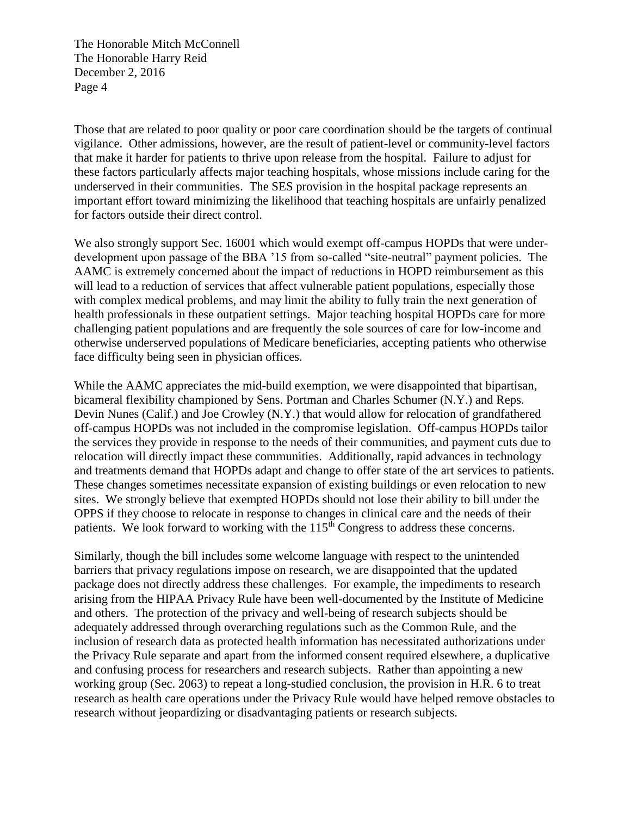Those that are related to poor quality or poor care coordination should be the targets of continual vigilance. Other admissions, however, are the result of patient-level or community-level factors that make it harder for patients to thrive upon release from the hospital. Failure to adjust for these factors particularly affects major teaching hospitals, whose missions include caring for the underserved in their communities. The SES provision in the hospital package represents an important effort toward minimizing the likelihood that teaching hospitals are unfairly penalized for factors outside their direct control.

We also strongly support Sec. 16001 which would exempt off-campus HOPDs that were underdevelopment upon passage of the BBA '15 from so-called "site-neutral" payment policies. The AAMC is extremely concerned about the impact of reductions in HOPD reimbursement as this will lead to a reduction of services that affect vulnerable patient populations, especially those with complex medical problems, and may limit the ability to fully train the next generation of health professionals in these outpatient settings. Major teaching hospital HOPDs care for more challenging patient populations and are frequently the sole sources of care for low-income and otherwise underserved populations of Medicare beneficiaries, accepting patients who otherwise face difficulty being seen in physician offices.

While the AAMC appreciates the mid-build exemption, we were disappointed that bipartisan, bicameral flexibility championed by Sens. Portman and Charles Schumer (N.Y.) and Reps. Devin Nunes (Calif.) and Joe Crowley (N.Y.) that would allow for relocation of grandfathered off-campus HOPDs was not included in the compromise legislation. Off-campus HOPDs tailor the services they provide in response to the needs of their communities, and payment cuts due to relocation will directly impact these communities. Additionally, rapid advances in technology and treatments demand that HOPDs adapt and change to offer state of the art services to patients. These changes sometimes necessitate expansion of existing buildings or even relocation to new sites. We strongly believe that exempted HOPDs should not lose their ability to bill under the OPPS if they choose to relocate in response to changes in clinical care and the needs of their patients. We look forward to working with the 115<sup>th</sup> Congress to address these concerns.

Similarly, though the bill includes some welcome language with respect to the unintended barriers that privacy regulations impose on research, we are disappointed that the updated package does not directly address these challenges. For example, the impediments to research arising from the HIPAA Privacy Rule have been well-documented by the Institute of Medicine and others. The protection of the privacy and well-being of research subjects should be adequately addressed through overarching regulations such as the Common Rule, and the inclusion of research data as protected health information has necessitated authorizations under the Privacy Rule separate and apart from the informed consent required elsewhere, a duplicative and confusing process for researchers and research subjects. Rather than appointing a new working group (Sec. 2063) to repeat a long-studied conclusion, the provision in H.R. 6 to treat research as health care operations under the Privacy Rule would have helped remove obstacles to research without jeopardizing or disadvantaging patients or research subjects.